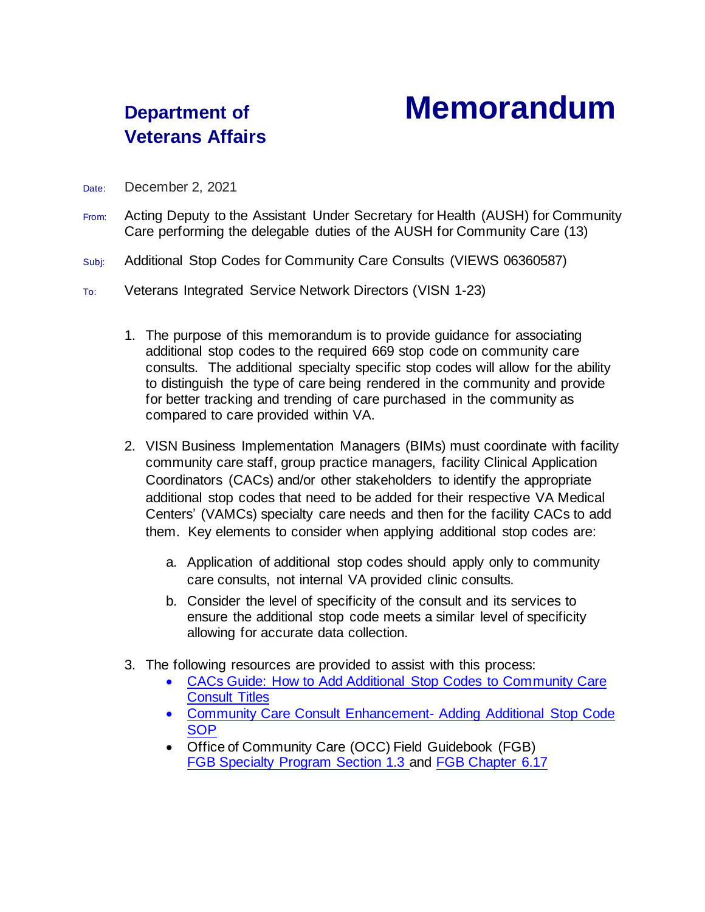## **Veterans Affairs**

## **Department of Memorandum**

- Date: December 2, 2021
- From: Acting Deputy to the Assistant Under Secretary for Health (AUSH) for Community Care performing the delegable duties of the AUSH for Community Care (13)
- Subj: Additional Stop Codes for Community Care Consults (VIEWS 06360587)
- To: Veterans Integrated Service Network Directors (VISN 1-23)
	- 1. The purpose of this memorandum is to provide guidance for associating additional stop codes to the required 669 stop code on community care consults. The additional specialty specific stop codes will allow for the ability to distinguish the type of care being rendered in the community and provide for better tracking and trending of care purchased in the community as compared to care provided within VA.
	- 2. VISN Business Implementation Managers (BIMs) must coordinate with facility community care staff, group practice managers, facility Clinical Application Coordinators (CACs) and/or other stakeholders to identify the appropriate additional stop codes that need to be added for their respective VA Medical Centers' (VAMCs) specialty care needs and then for the facility CACs to add them. Key elements to consider when applying additional stop codes are:
		- a. Application of additional stop codes should apply only to community care consults, not internal VA provided clinic consults.
		- b. Consider the level of specificity of the consult and its services to ensure the additional stop code meets a similar level of specificity allowing for accurate data collection.
	- 3. The following resources are provided to assist with this process:
		- [CACs Guide: How to Add Additional Stop Codes to Community Care](https://dvagov.sharepoint.com/sites/vacovha/DUSHCC/DC/DO/CI/FGB/FGB_Artifacts/Forms/AllItems.aspx?id=%2Fsites%2Fvacovha%2FDUSHCC%2FDC%2FDO%2FCI%2FFGB%2FFGB%5FArtifacts%2FRCI%2FHow%20to%20Add%20Additional%20Stopc%20Codes%20to%20Consult%20Titles&viewid=eb61b78b%2D4974%2D472c%2Db622%2D8b8dea06d882)  [Consult Titles](https://dvagov.sharepoint.com/sites/vacovha/DUSHCC/DC/DO/CI/FGB/FGB_Artifacts/Forms/AllItems.aspx?id=%2Fsites%2Fvacovha%2FDUSHCC%2FDC%2FDO%2FCI%2FFGB%2FFGB%5FArtifacts%2FRCI%2FHow%20to%20Add%20Additional%20Stopc%20Codes%20to%20Consult%20Titles&viewid=eb61b78b%2D4974%2D472c%2Db622%2D8b8dea06d882)
		- [Community Care Consult Enhancement-](https://dvagov.sharepoint.com/sites/vacovha/DUSHCC/DC/DO/CI/FGB/FGB_Artifacts/Forms/AllItems.aspx?id=%2Fsites%2Fvacovha%2FDUSHCC%2FDC%2FDO%2FCI%2FFGB%2FFGB%5FArtifacts%2FRCI%2FCommunity%20Care%20Consult%20Enhancement%20%2D%20Additional%20Additional%20Stop%20Code%20SOP&viewid=eb61b78b%2D4974%2D472c%2Db622%2D8b8dea06d882) Adding Additional Stop Code **[SOP](https://dvagov.sharepoint.com/sites/vacovha/DUSHCC/DC/DO/CI/FGB/FGB_Artifacts/Forms/AllItems.aspx?id=%2Fsites%2Fvacovha%2FDUSHCC%2FDC%2FDO%2FCI%2FFGB%2FFGB%5FArtifacts%2FRCI%2FCommunity%20Care%20Consult%20Enhancement%20%2D%20Additional%20Additional%20Stop%20Code%20SOP&viewid=eb61b78b%2D4974%2D472c%2Db622%2D8b8dea06d882)**
		- Office of Community Care (OCC) Field Guidebook (FGB) [FGB Specialty Program Section 1.3](https://dvagov.sharepoint.com/sites/VHAOCC/CNM/CI/OCCFGB/Chapter%20Documents/Chapter%201.docx) and [FGB Chapter 6.17](https://dvagov.sharepoint.com/sites/VHAOCC/CNM/CI/OCCFGB/Chapter%20Documents/Chapter%206.docx)